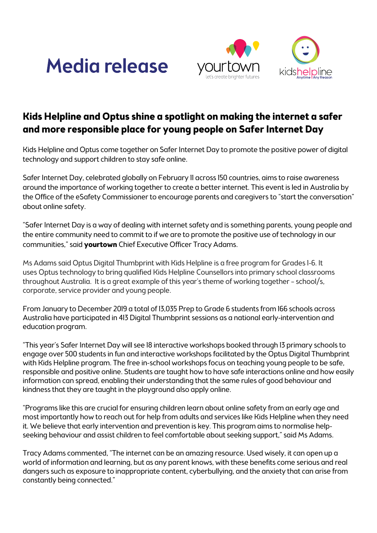



## **Kids Helpline and Optus shine a spotlight on making the internet a safer and more responsible place for young people on Safer Internet Day**

Kids Helpline and Optus come together on Safer Internet Day to promote the positive power of digital technology and support children to stay safe online.

Safer Internet Day, celebrated globally on February 11 across 150 countries, aims to raise awareness around the importance of working together to create a better internet. This event is led in Australia by the Office of the eSafety Commissioner to encourage parents and caregivers to "start the conversation" about online safety.

"Safer Internet Day is a way of dealing with internet safety and is something parents, young people and the entire community need to commit to if we are to promote the positive use of technology in our communities," said **yourtown** Chief Executive Officer Tracy Adams.

Ms Adams said Optus Digital Thumbprint with Kids Helpline is a free program for Grades 1-6. It uses Optus technology to bring qualified Kids Helpline Counsellors into primary school classrooms throughout Australia. It is a great example of this year's theme of working together – school/s, corporate, service provider and young people.

From January to December 2019 a total of 13,035 Prep to Grade 6 students from 166 schools across Australia have participated in 413 Digital Thumbprint sessions as a national early-intervention and education program.

"This year's Safer Internet Day will see 18 interactive workshops booked through 13 primary schools to engage over 500 students in fun and interactive workshops facilitated by the Optus Digital Thumbprint with Kids Helpline program. The free in-school workshops focus on teaching young people to be safe, responsible and positive online. Students are taught how to have safe interactions online and how easily information can spread, enabling their understanding that the same rules of good behaviour and kindness that they are taught in the playground also apply online.

"Programs like this are crucial for ensuring children learn about online safety from an early age and most importantly how to reach out for help from adults and services like Kids Helpline when they need it. We believe that early intervention and prevention is key. This program aims to normalise helpseeking behaviour and assist children to feel comfortable about seeking support," said Ms Adams.

Tracy Adams commented, "The internet can be an amazing resource. Used wisely, it can open up a world of information and learning, but as any parent knows, with these benefits come serious and real dangers such as exposure to inappropriate content, cyberbullying, and the anxiety that can arise from constantly being connected."